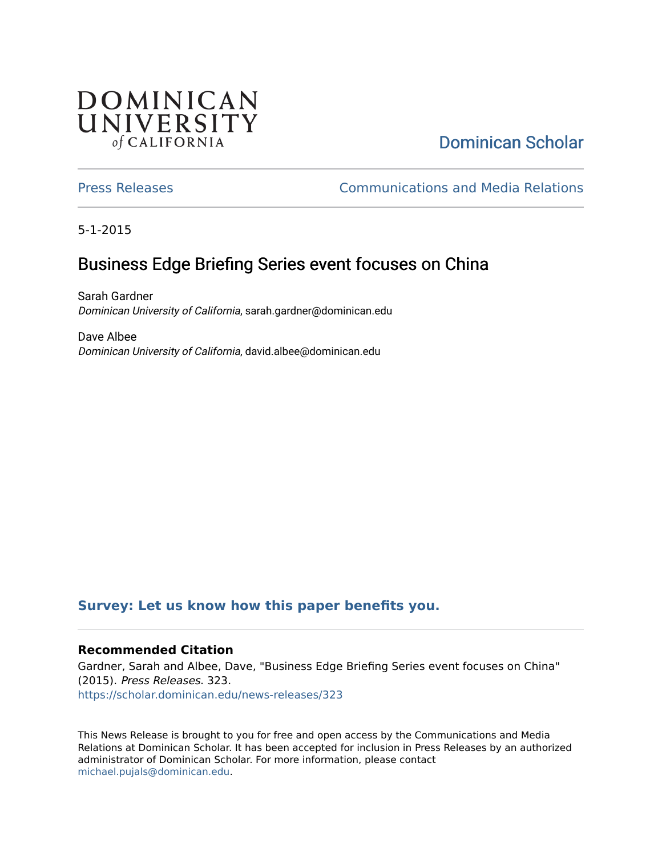## **DOMINICAN** UNIVERSITY of CALIFORNIA

# [Dominican Scholar](https://scholar.dominican.edu/)

[Press Releases](https://scholar.dominican.edu/news-releases) [Communications and Media Relations](https://scholar.dominican.edu/communications-media) 

5-1-2015

# Business Edge Briefing Series event focuses on China

Sarah Gardner Dominican University of California, sarah.gardner@dominican.edu

Dave Albee Dominican University of California, david.albee@dominican.edu

#### **[Survey: Let us know how this paper benefits you.](https://dominican.libwizard.com/dominican-scholar-feedback)**

#### **Recommended Citation**

Gardner, Sarah and Albee, Dave, "Business Edge Briefing Series event focuses on China" (2015). Press Releases. 323. [https://scholar.dominican.edu/news-releases/323](https://scholar.dominican.edu/news-releases/323?utm_source=scholar.dominican.edu%2Fnews-releases%2F323&utm_medium=PDF&utm_campaign=PDFCoverPages)

This News Release is brought to you for free and open access by the Communications and Media Relations at Dominican Scholar. It has been accepted for inclusion in Press Releases by an authorized administrator of Dominican Scholar. For more information, please contact [michael.pujals@dominican.edu.](mailto:michael.pujals@dominican.edu)